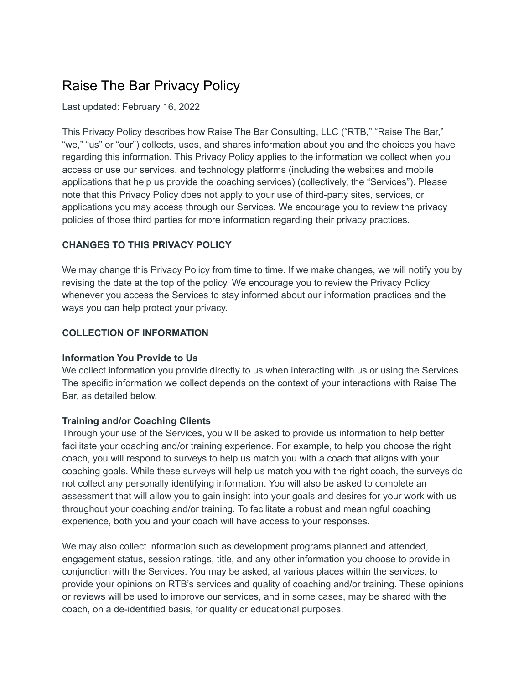# Raise The Bar Privacy Policy

Last updated: February 16, 2022

This Privacy Policy describes how Raise The Bar Consulting, LLC ("RTB," "Raise The Bar," "we," "us" or "our") collects, uses, and shares information about you and the choices you have regarding this information. This Privacy Policy applies to the information we collect when you access or use our services, and technology platforms (including the websites and mobile applications that help us provide the coaching services) (collectively, the "Services"). Please note that this Privacy Policy does not apply to your use of third-party sites, services, or applications you may access through our Services. We encourage you to review the privacy policies of those third parties for more information regarding their privacy practices.

## **CHANGES TO THIS PRIVACY POLICY**

We may change this Privacy Policy from time to time. If we make changes, we will notify you by revising the date at the top of the policy. We encourage you to review the Privacy Policy whenever you access the Services to stay informed about our information practices and the ways you can help protect your privacy.

## **COLLECTION OF INFORMATION**

#### **Information You Provide to Us**

We collect information you provide directly to us when interacting with us or using the Services. The specific information we collect depends on the context of your interactions with Raise The Bar, as detailed below.

#### **Training and/or Coaching Clients**

Through your use of the Services, you will be asked to provide us information to help better facilitate your coaching and/or training experience. For example, to help you choose the right coach, you will respond to surveys to help us match you with a coach that aligns with your coaching goals. While these surveys will help us match you with the right coach, the surveys do not collect any personally identifying information. You will also be asked to complete an assessment that will allow you to gain insight into your goals and desires for your work with us throughout your coaching and/or training. To facilitate a robust and meaningful coaching experience, both you and your coach will have access to your responses.

We may also collect information such as development programs planned and attended, engagement status, session ratings, title, and any other information you choose to provide in conjunction with the Services. You may be asked, at various places within the services, to provide your opinions on RTB's services and quality of coaching and/or training. These opinions or reviews will be used to improve our services, and in some cases, may be shared with the coach, on a de-identified basis, for quality or educational purposes.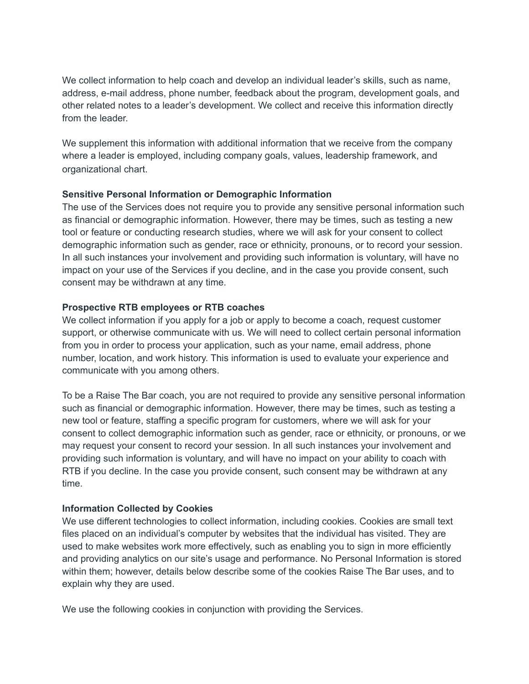We collect information to help coach and develop an individual leader's skills, such as name, address, e-mail address, phone number, feedback about the program, development goals, and other related notes to a leader's development. We collect and receive this information directly from the leader

We supplement this information with additional information that we receive from the company where a leader is employed, including company goals, values, leadership framework, and organizational chart.

#### **Sensitive Personal Information or Demographic Information**

The use of the Services does not require you to provide any sensitive personal information such as financial or demographic information. However, there may be times, such as testing a new tool or feature or conducting research studies, where we will ask for your consent to collect demographic information such as gender, race or ethnicity, pronouns, or to record your session. In all such instances your involvement and providing such information is voluntary, will have no impact on your use of the Services if you decline, and in the case you provide consent, such consent may be withdrawn at any time.

## **Prospective RTB employees or RTB coaches**

We collect information if you apply for a job or apply to become a coach, request customer support, or otherwise communicate with us. We will need to collect certain personal information from you in order to process your application, such as your name, email address, phone number, location, and work history. This information is used to evaluate your experience and communicate with you among others.

To be a Raise The Bar coach, you are not required to provide any sensitive personal information such as financial or demographic information. However, there may be times, such as testing a new tool or feature, staffing a specific program for customers, where we will ask for your consent to collect demographic information such as gender, race or ethnicity, or pronouns, or we may request your consent to record your session. In all such instances your involvement and providing such information is voluntary, and will have no impact on your ability to coach with RTB if you decline. In the case you provide consent, such consent may be withdrawn at any time.

# **Information Collected by Cookies**

We use different technologies to collect information, including cookies. Cookies are small text files placed on an individual's computer by websites that the individual has visited. They are used to make websites work more effectively, such as enabling you to sign in more efficiently and providing analytics on our site's usage and performance. No Personal Information is stored within them; however, details below describe some of the cookies Raise The Bar uses, and to explain why they are used.

We use the following cookies in conjunction with providing the Services.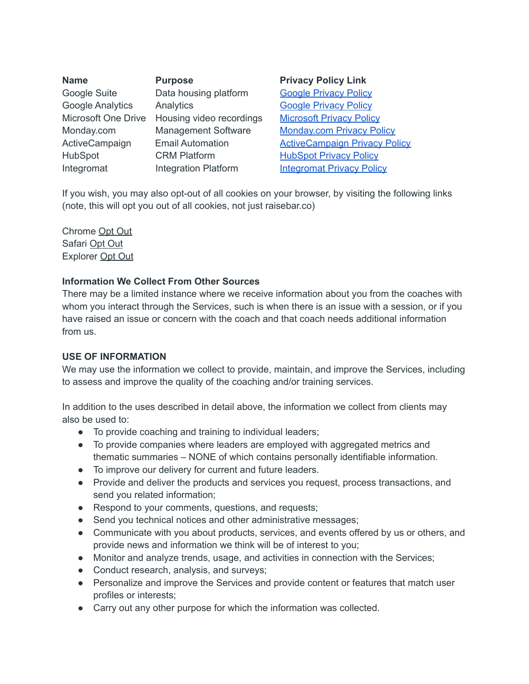| <b>Name</b>                | <b>Purpose</b>              |
|----------------------------|-----------------------------|
| Google Suite               | Data housing platform       |
| <b>Google Analytics</b>    | Analytics                   |
| <b>Microsoft One Drive</b> | Housing video recordings    |
| Monday.com                 | <b>Management Software</b>  |
| ActiveCampaign             | <b>Email Automation</b>     |
| <b>HubSpot</b>             | <b>CRM Platform</b>         |
| Integromat                 | <b>Integration Platform</b> |

**Privacy Policy Link Google [Privacy](https://policies.google.com/privacy?hl=en-US) Policy** Google [Privacy](https://policies.google.com/privacy?hl=en-US) Policy **[Microsoft](https://privacy.microsoft.com/en-us/privacystatement) Privacy Policy** [Monday.com](https://monday.com/l/privacy/privacy-policy/) Privacy Policy **[ActiveCampaign](https://www.activecampaign.com/legal/privacy-policy?_ga=2.214130196.261718491.1644864883-1515421981.1644864883&_gac=1.58626136.1644864883.Cj0KCQiAmKiQBhClARIsAKtSj-mBAVWz-Vrkg4woR8SNYfGy2-hGpQFWm02TNY2gzy9Eegd961BdNnEaAtKwEALw_wcB) Privacy Policy [HubSpot](https://legal.hubspot.com/privacy-policy?_ga=2.177543333.1298987834.1644866718-1283708389.1644866718) Privacy Policy** 

**[Integromat](https://www.integromat.com/en/help/privacy-notice) Privacy Policy** 

If you wish, you may also opt-out of all cookies on your browser, by visiting the following links (note, this will opt you out of all cookies, not just raisebar.co)

Chrome [Opt](https://support.google.com/chrome/answer/95647?hl=en&ref_topic=3421433) Out Safari [Opt](https://support.apple.com/kb/index?page=search&q=cookies%20safari) Out Explorer [Opt](https://support.microsoft.com/en-us/help/17442/windows-internet-explorer-delete-manage-cookies#ie=ie-11) Out

#### **Information We Collect From Other Sources**

There may be a limited instance where we receive information about you from the coaches with whom you interact through the Services, such is when there is an issue with a session, or if you have raised an issue or concern with the coach and that coach needs additional information from us.

#### **USE OF INFORMATION**

We may use the information we collect to provide, maintain, and improve the Services, including to assess and improve the quality of the coaching and/or training services.

In addition to the uses described in detail above, the information we collect from clients may also be used to:

- To provide coaching and training to individual leaders;
- To provide companies where leaders are employed with aggregated metrics and thematic summaries – NONE of which contains personally identifiable information.
- To improve our delivery for current and future leaders.
- Provide and deliver the products and services you request, process transactions, and send you related information;
- Respond to your comments, questions, and requests;
- Send you technical notices and other administrative messages;
- Communicate with you about products, services, and events offered by us or others, and provide news and information we think will be of interest to you;
- Monitor and analyze trends, usage, and activities in connection with the Services;
- Conduct research, analysis, and surveys;
- Personalize and improve the Services and provide content or features that match user profiles or interests;
- Carry out any other purpose for which the information was collected.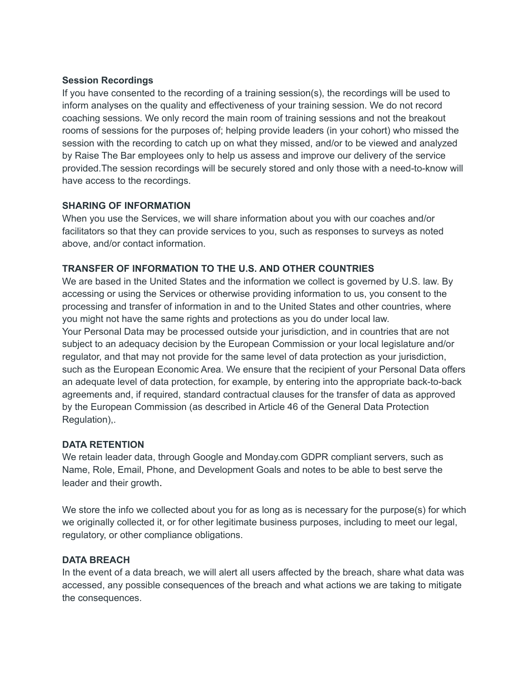#### **Session Recordings**

If you have consented to the recording of a training session(s), the recordings will be used to inform analyses on the quality and effectiveness of your training session. We do not record coaching sessions. We only record the main room of training sessions and not the breakout rooms of sessions for the purposes of; helping provide leaders (in your cohort) who missed the session with the recording to catch up on what they missed, and/or to be viewed and analyzed by Raise The Bar employees only to help us assess and improve our delivery of the service provided.The session recordings will be securely stored and only those with a need-to-know will have access to the recordings.

## **SHARING OF INFORMATION**

When you use the Services, we will share information about you with our coaches and/or facilitators so that they can provide services to you, such as responses to surveys as noted above, and/or contact information.

## **TRANSFER OF INFORMATION TO THE U.S. AND OTHER COUNTRIES**

We are based in the United States and the information we collect is governed by U.S. law. By accessing or using the Services or otherwise providing information to us, you consent to the processing and transfer of information in and to the United States and other countries, where you might not have the same rights and protections as you do under local law.

Your Personal Data may be processed outside your jurisdiction, and in countries that are not subject to an adequacy decision by the European Commission or your local legislature and/or regulator, and that may not provide for the same level of data protection as your jurisdiction, such as the European Economic Area. We ensure that the recipient of your Personal Data offers an adequate level of data protection, for example, by entering into the appropriate back-to-back agreements and, if required, standard contractual clauses for the transfer of data as approved by the European Commission (as described in Article 46 of the General Data Protection Regulation),.

# **DATA RETENTION**

We retain leader data, through Google and Monday.com GDPR compliant servers, such as Name, Role, Email, Phone, and Development Goals and notes to be able to best serve the leader and their growth.

We store the info we collected about you for as long as is necessary for the purpose(s) for which we originally collected it, or for other legitimate business purposes, including to meet our legal, regulatory, or other compliance obligations.

# **DATA BREACH**

In the event of a data breach, we will alert all users affected by the breach, share what data was accessed, any possible consequences of the breach and what actions we are taking to mitigate the consequences.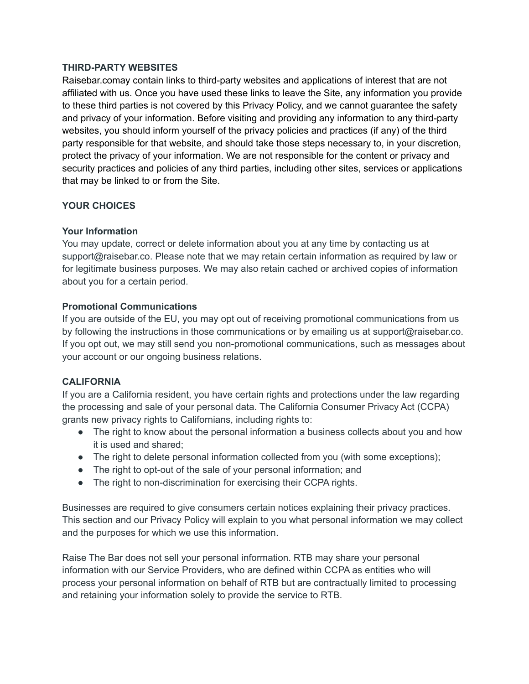#### **THIRD-PARTY WEBSITES**

Raisebar.comay contain links to third-party websites and applications of interest that are not affiliated with us. Once you have used these links to leave the Site, any information you provide to these third parties is not covered by this Privacy Policy, and we cannot guarantee the safety and privacy of your information. Before visiting and providing any information to any third-party websites, you should inform yourself of the privacy policies and practices (if any) of the third party responsible for that website, and should take those steps necessary to, in your discretion, protect the privacy of your information. We are not responsible for the content or privacy and security practices and policies of any third parties, including other sites, services or applications that may be linked to or from the Site.

# **YOUR CHOICES**

## **Your Information**

You may update, correct or delete information about you at any time by contacting us at support@raisebar.co. Please note that we may retain certain information as required by law or for legitimate business purposes. We may also retain cached or archived copies of information about you for a certain period.

## **Promotional Communications**

If you are outside of the EU, you may opt out of receiving promotional communications from us by following the instructions in those communications or by emailing us at support@raisebar.co. If you opt out, we may still send you non-promotional communications, such as messages about your account or our ongoing business relations.

#### **CALIFORNIA**

If you are a California resident, you have certain rights and protections under the law regarding the processing and sale of your personal data. The California Consumer Privacy Act (CCPA) grants new privacy rights to Californians, including rights to:

- The right to know about the personal information a business collects about you and how it is used and shared;
- The right to delete personal information collected from you (with some exceptions);
- The right to opt-out of the sale of your personal information; and
- The right to non-discrimination for exercising their CCPA rights.

Businesses are required to give consumers certain notices explaining their privacy practices. This section and our Privacy Policy will explain to you what personal information we may collect and the purposes for which we use this information.

Raise The Bar does not sell your personal information. RTB may share your personal information with our Service Providers, who are defined within CCPA as entities who will process your personal information on behalf of RTB but are contractually limited to processing and retaining your information solely to provide the service to RTB.